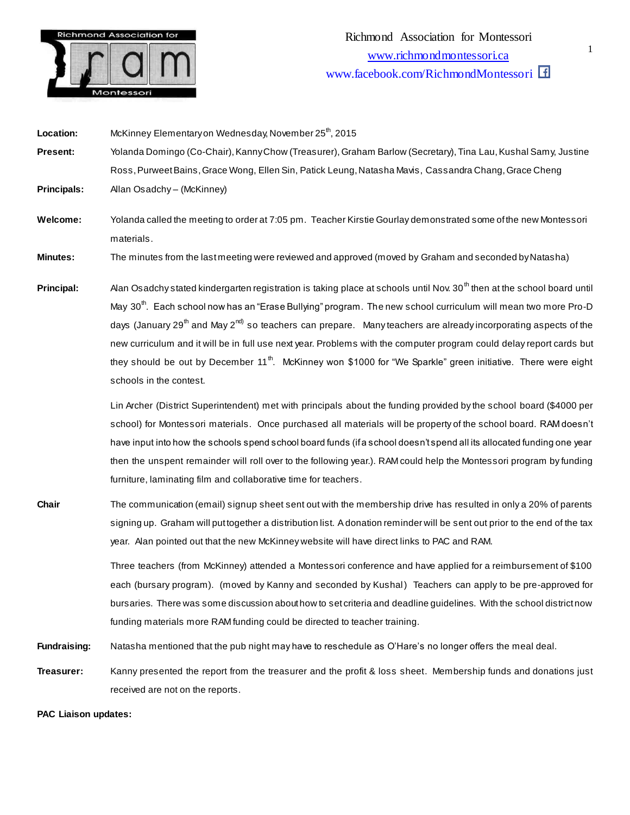

materials.

**Location:** McKinney Elementary on Wednesday, November 25<sup>th</sup>, 2015 **Present:** Yolanda Domingo (Co-Chair), Kanny Chow (Treasurer), Graham Barlow (Secretary), Tina Lau, Kushal Samy, Justine Ross, Purweet Bains, Grace Wong, Ellen Sin, Patick Leung, Natasha Mavis, Cassandra Chang, Grace Cheng **Principals:** Allan Osadchy – (McKinney) **Welcome:** Yolanda called the meeting to order at 7:05 pm. Teacher Kirstie Gourlay demonstrated some of the new Montessori

**Minutes:** The minutes from the last meeting were reviewed and approved (moved by Graham and seconded by Natasha)

**Principal:** Alan Osadchy stated kindergarten registration is taking place at schools until Nov. 30<sup>th</sup> then at the school board until May 30<sup>th</sup>. Each school now has an "Erase Bullying" program. The new school curriculum will mean two more Pro-D days (January 29<sup>th</sup> and May 2<sup>nd)</sup> so teachers can prepare. Many teachers are already incorporating aspects of the new curriculum and it will be in full use next year. Problems with the computer program could delay report cards but they should be out by December 11<sup>th</sup>. McKinney won \$1000 for "We Sparkle" green initiative. There were eight schools in the contest.

> Lin Archer (District Superintendent) met with principals about the funding provided by the school board (\$4000 per school) for Montessori materials. Once purchased all materials will be property of the school board. RAM doesn't have input into how the schools spend school board funds (if a school doesn't spend all its allocated funding one year then the unspent remainder will roll over to the following year.). RAM could help the Montessori program by funding furniture, laminating film and collaborative time for teachers.

**Chair** The communication (email) signup sheet sent out with the membership drive has resulted in only a 20% of parents signing up. Graham will put together a distribution list. A donation reminder will be sent out prior to the end of the tax year. Alan pointed out that the new McKinney website will have direct links to PAC and RAM.

> Three teachers (from McKinney) attended a Montessori conference and have applied for a reimbursement of \$100 each (bursary program). (moved by Kanny and seconded by Kushal) Teachers can apply to be pre-approved for bursaries. There was some discussion about how to set criteria and deadline guidelines. With the school district now funding materials more RAM funding could be directed to teacher training.

**Fundraising:** Natasha mentioned that the pub night may have to reschedule as O'Hare's no longer offers the meal deal.

**Treasurer:** Kanny presented the report from the treasurer and the profit & loss sheet. Membership funds and donations just received are not on the reports.

**PAC Liaison updates:**